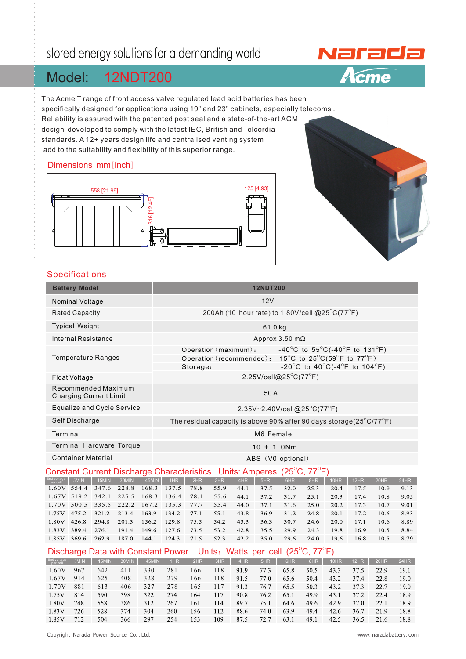# stored energy solutions for a demanding world

#### 12NDT200 Model:

The Acme T range of front access valve regulated lead acid batteries has been specifically designed for applications using 19" and 23" cabinets, especially telecoms . Reliability is assured with the patented post seal and a state-of-the-art AGM design developed to comply with the latest IEC, British and Telcordia standards. A 12+ years design life and centralised venting system add to the suitability and flexibility of this superior range.

### Dimensions-mm[inch]





### Specifications

|                                                                                                 | <b>Battery Model</b> |                            |       |       |                                                                                                                                                             |      |      |      | <b>12NDT200</b> |      |      |      |      |      |      |
|-------------------------------------------------------------------------------------------------|----------------------|----------------------------|-------|-------|-------------------------------------------------------------------------------------------------------------------------------------------------------------|------|------|------|-----------------|------|------|------|------|------|------|
| <b>Nominal Voltage</b>                                                                          |                      |                            |       |       | 12V                                                                                                                                                         |      |      |      |                 |      |      |      |      |      |      |
| <b>Rated Capacity</b>                                                                           |                      |                            |       |       | 200Ah (10 hour rate) to 1.80V/cell @25 $^{\circ}$ C(77 $^{\circ}$ F)                                                                                        |      |      |      |                 |      |      |      |      |      |      |
| <b>Typical Weight</b>                                                                           |                      |                            |       |       | 61.0 kg                                                                                                                                                     |      |      |      |                 |      |      |      |      |      |      |
| Internal Resistance                                                                             |                      |                            |       |       | Approx 3.50 m $\Omega$                                                                                                                                      |      |      |      |                 |      |      |      |      |      |      |
| <b>Temperature Ranges</b>                                                                       |                      |                            |       |       | -40°C to 55°C(-40°F to 131°F)<br>Operation (maximum):<br>Operation (recommended):<br>15°C to 25°C(59°F to 77°F)<br>-20°C to 40°C(-4°F to 104°F)<br>Storage: |      |      |      |                 |      |      |      |      |      |      |
| Float Voltage                                                                                   |                      |                            |       |       | 2.25V/cell@25°C(77°F)                                                                                                                                       |      |      |      |                 |      |      |      |      |      |      |
| Recommended Maximum<br><b>Charging Current Limit</b>                                            |                      |                            |       |       | 50A                                                                                                                                                         |      |      |      |                 |      |      |      |      |      |      |
|                                                                                                 |                      | Equalize and Cycle Service |       |       | 2.35V~2.40V/cell@25 <sup>°</sup> C(77 <sup>°</sup> F)                                                                                                       |      |      |      |                 |      |      |      |      |      |      |
| Self Discharge                                                                                  |                      |                            |       |       | The residual capacity is above 90% after 90 days storage( $25^{\circ}$ C/77 $^{\circ}$ F)                                                                   |      |      |      |                 |      |      |      |      |      |      |
| Terminal                                                                                        |                      |                            |       |       | M6 Female                                                                                                                                                   |      |      |      |                 |      |      |      |      |      |      |
| Terminal Hardware Torque                                                                        |                      |                            |       |       | $10 \pm 1.0$ Nm                                                                                                                                             |      |      |      |                 |      |      |      |      |      |      |
| <b>Container Material</b>                                                                       |                      |                            |       |       | ABS (V0 optional)                                                                                                                                           |      |      |      |                 |      |      |      |      |      |      |
| <b>Constant Current Discharge Characteristics</b>                                               |                      |                            |       |       | $(25^{\circ}C, 77^{\circ}F)$<br><b>Units: Amperes</b>                                                                                                       |      |      |      |                 |      |      |      |      |      |      |
| End voltage                                                                                     | 5MIN                 | 15MIN                      | 30MIN | 45MIN | 1HR                                                                                                                                                         | 2HR  | 3HR  | 4HR  | 5HR             | 6HR  | 8HR  | 10HR | 12HR | 20HR | 24HR |
| 1.60V 554.4                                                                                     |                      | 347.6                      | 228.8 | 168.3 | 137.5                                                                                                                                                       | 78.8 | 55.9 | 44.1 | 37.5            | 32.0 | 25.3 | 20.4 | 17.5 | 10.9 | 9.13 |
| 1.67V 519.2                                                                                     |                      | 342.1                      | 225.5 | 168.3 | 136.4                                                                                                                                                       | 78.1 | 55.6 | 44.1 | 37.2            | 31.7 | 25.1 | 20.3 | 17.4 | 10.8 | 9.05 |
|                                                                                                 | 1.70V 500.5          | 335.5                      | 222.2 | 167.2 | 135.3                                                                                                                                                       | 77.7 | 55.4 | 44.0 | 37.1            | 31.6 | 25.0 | 20.2 | 17.3 | 10.7 | 9.01 |
| 1.75V                                                                                           | 475.2                | 321.2                      | 213.4 | 163.9 | 134.2                                                                                                                                                       | 77.1 | 55.1 | 43.8 | 36.9            | 31.2 | 24.8 | 20.1 | 17.2 | 10.6 | 8.93 |
| 1.80V                                                                                           | 426.8                | 294.8                      | 201.3 | 156.2 | 129.8                                                                                                                                                       | 75.5 | 54.2 | 43.3 | 36.3            | 30.7 | 24.6 | 20.0 | 17.1 | 10.6 | 8.89 |
| 1.83V                                                                                           | 389.4                | 276.1                      | 191.4 | 149.6 | 127.6                                                                                                                                                       | 73.5 | 53.2 | 42.8 | 35.5            | 29.9 | 24.3 | 19.8 | 16.9 | 10.5 | 8.84 |
| 1.85V                                                                                           | 369.6                | 262.9                      | 187.0 | 144.1 | 124.3                                                                                                                                                       | 71.5 | 52.3 | 42.2 | 35.0            | 29.6 | 24.0 | 19.6 | 16.8 | 10.5 | 8.79 |
| Units: Watts per cell $(25^{\circ}C, 77^{\circ}F)$<br><b>Discharge Data with Constant Power</b> |                      |                            |       |       |                                                                                                                                                             |      |      |      |                 |      |      |      |      |      |      |
| End voltage<br>per cell                                                                         | 5MIN                 | 15MIN                      | 30MIN | 45MIN | 1HR                                                                                                                                                         | 2HR  | 3HR  | 4HR  | 5HR             | 6HR  | 8HR  | 10HR | 12HR | 20HR | 24HR |
| 1.60V                                                                                           | 967                  | 642                        | 411   | 330   | 281                                                                                                                                                         | 166  | 118  | 91.9 | 77.3            | 65.8 | 50.5 | 43.3 | 37.5 | 22.9 | 19.1 |
| 1.67V                                                                                           | 914                  | 625                        | 408   | 328   | 279                                                                                                                                                         | 166  | 118  | 91.5 | 77.0            | 65.6 | 50.4 | 43.2 | 37.4 | 22.8 | 19.0 |
| 1.70V                                                                                           | 881                  | 613                        | 406   | 327   | 278                                                                                                                                                         | 165  | 117  | 91.3 | 76.7            | 65.5 | 50.3 | 43.2 | 37.3 | 22.7 | 19.0 |

590

558

528

504

398

386

374

366

322

312

304

297

274

267

260

254

164

161

156

153

117

114

112

109

90.8

89.7

88.6

87.5

76.2

75.1

74.0

72.7

65.1

64.6

63.9

63.1

49.9

49.6

49.4

49.1

43.1

42.9

 $42.6$ 

42.5

37.2

37.0

36.7

36.5

1.75V

1.80V

1.83V

1.85V

814

748

726

712

22.4

 $22.1$ 

21.9

21.6

18.9

18.9

18.8

18.8